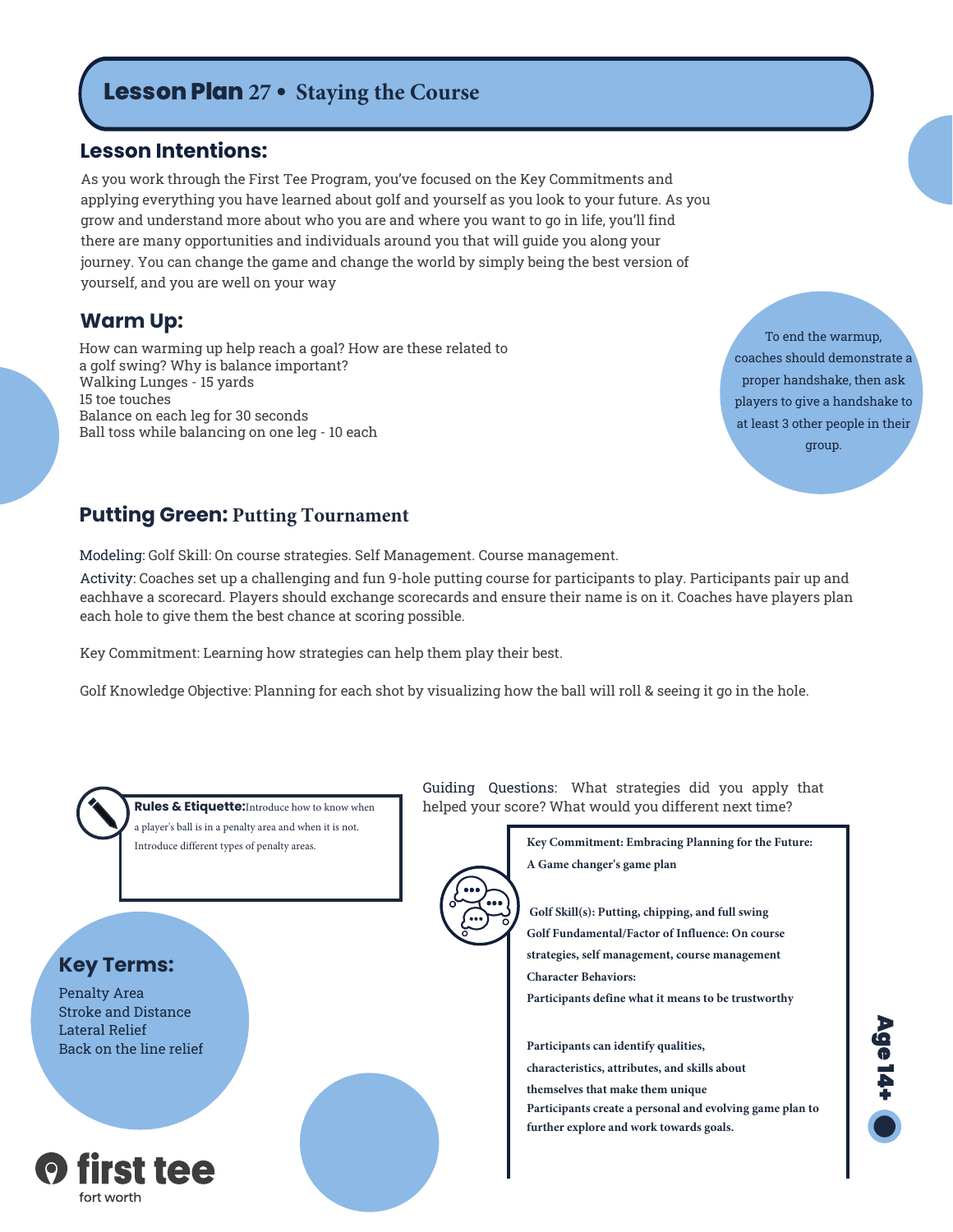# **Lesson Plan 27 • Staying the Course**

### **Lesson Intentions:**

As you work through the First Tee Program, you've focused on the Key Commitments and applying everything you have learned about golf and yourself as you look to your future. As you grow and understand more about who you are and where you want to go in life, you'll find there are many opportunities and individuals around you that will guide you along your journey. You can change the game and change the world by simply being the best version of yourself, and you are well on your way

### **Warm Up:**

How can warming up help reach a goal? How are these related to a golf swing? Why is balance important? Walking Lunges - 15 yards 15 toe touches Balance on each leg for 30 seconds Ball toss while balancing on one leg - 10 each

To end the warmup, coaches should demonstrate a proper handshake, then ask players to give a handshake to at least 3 other people in their group.

### **Putting Green: Putting Tournament**

Modeling: Golf Skill: On course strategies. Self Management. Course management.

Activity: Coaches set up a challenging and fun 9-hole putting course for participants to play. Participants pair up and eachhave a scorecard. Players should exchange scorecards and ensure their name is on it. Coaches have players plan each hole to give them the best chance at scoring possible.

Key Commitment: Learning how strategies can help them play their best.

Golf Knowledge Objective: Planning for each shot by visualizing how the ball will roll & seeing it go in the hole.



a player's ball is in a penalty area and when it is not. Introduce different types of penalty areas.

### **Key Terms:**

Penalty Area Stroke and Distance Lateral Relief Back on the line relief



Guiding Questions: What strategies did you apply that **Rules & Etiquette:**Introduce how to know when helped your score? What would you different next time?

> **Key Commitment: Embracing Planning for the Future: A Game changer's game plan**



**Golf Skill(s): Putting, chipping, and full swing Golf Fundamental/Factor of Influence: On course strategies, self management, course management Character Behaviors: Participants define what it means to be trustworthy**

**Participants can identify qualities, characteristics, attributes, and skills about themselves that make them unique Participants create a personal and evolving game plan to further explore and work towards goals.**